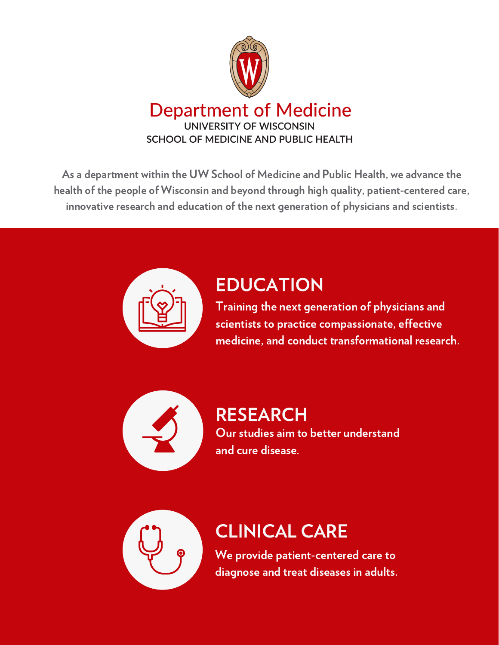

As a department within the UW School of Medicine and Public Health, we advance the health of the people of Wisconsin and beyond through high quality, patient-centered care, innovative research and education of the next generation of physicians and scientists.



### EDUCATION

Training the next generation of physicians and scientists to practice compassionate, effective medicine, and conduct transformational research.



#### RESEARCH Our studies aim to better understand and cure disease.



## CLINICAL CARE

We provide patient-centered care to diagnose and treat diseases in adults.